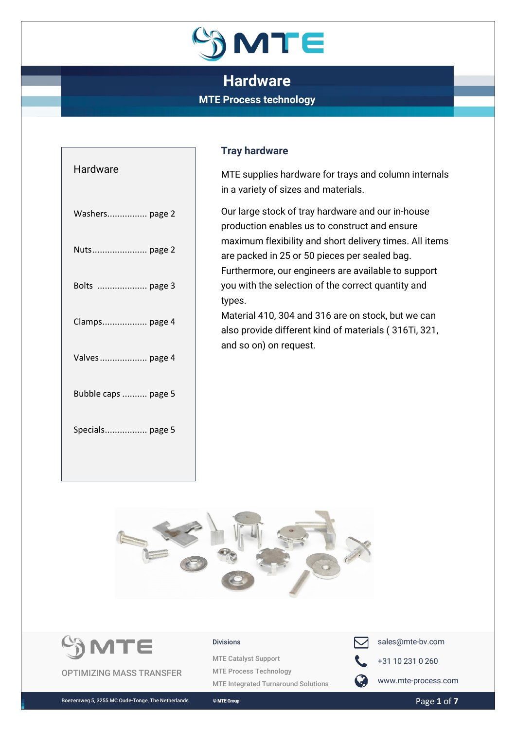

| Hardware            |
|---------------------|
| Washers page 2      |
| Nuts page 2         |
| Bolts  page 3       |
| Clamps page 4       |
| Valves  page 4      |
| Bubble caps  page 5 |
| Specials page 5     |
|                     |

## **Tray hardware**

MTE supplies hardware for trays and column internals in a variety of sizes and materials.

Our large stock of tray hardware and our in-house production enables us to construct and ensure maximum flexibility and short delivery times. All items are packed in 25 or 50 pieces per sealed bag. Furthermore, our engineers are available to support you with the selection of the correct quantity and types.

Material 410, 304 and 316 are on stock, but we can also provide different kind of materials ( 316Ti, 321, and so on) on request.





#### Divisions

MTE Catalyst Support MTE Process Technology MTE Integrated Turnaround Solutions



 $\Box$  sales@mte-bv.com

+31 10 231 0 260

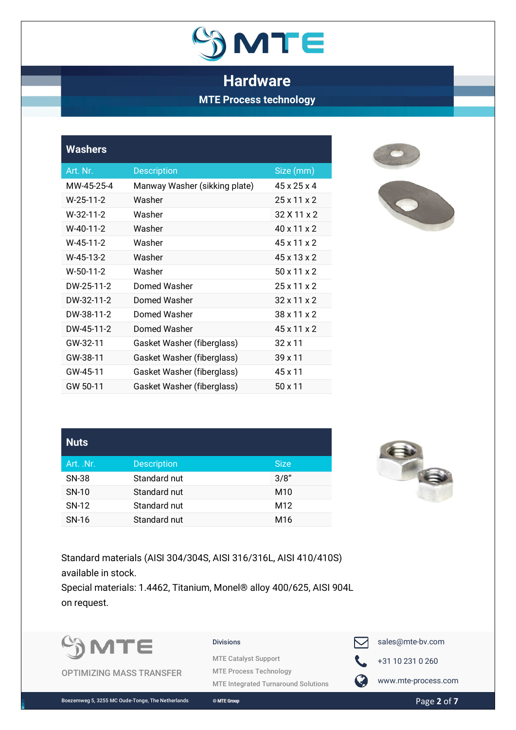

<span id="page-1-0"></span>

| <b>Washers</b> |                               |                         |
|----------------|-------------------------------|-------------------------|
| Art. Nr.       | <b>Description</b>            | Size (mm)               |
| MW-45-25-4     | Manway Washer (sikking plate) | $45 \times 25 \times 4$ |
| $W-25-11-2$    | Washer                        | 25x11x2                 |
| W-32-11-2      | Washer                        | 32 X 11 x 2             |
| W-40-11-2      | Washer                        | $40 \times 11 \times 2$ |
| W-45-11-2      | Washer                        | 45x11x2                 |
| W-45-13-2      | Washer                        | $45 \times 13 \times 2$ |
| W-50-11-2      | Washer                        | 50x11x2                 |
| DW-25-11-2     | Domed Washer                  | 25x11x2                 |
| DW-32-11-2     | Domed Washer                  | $32 \times 11 \times 2$ |
| DW-38-11-2     | Domed Washer                  | $38 \times 11 \times 2$ |
| DW-45-11-2     | Domed Washer                  | 45x11x2                 |
| GW-32-11       | Gasket Washer (fiberglass)    | $32 \times 11$          |
| GW-38-11       | Gasket Washer (fiberglass)    | $39 \times 11$          |
| GW-45-11       | Gasket Washer (fiberglass)    | 45 x 11                 |
| GW 50-11       | Gasket Washer (fiberglass)    | 50 x 11                 |



<span id="page-1-1"></span>

| <b>Nuts</b> |                    |                 |
|-------------|--------------------|-----------------|
| Art. .Nr.   | <b>Description</b> | <b>Size</b>     |
| SN-38       | Standard nut       | 3/8"            |
| SN-10       | Standard nut       | M <sub>10</sub> |
| SN-12       | Standard nut       | M <sub>12</sub> |
| SN-16       | Standard nut       | M <sub>16</sub> |



Standard materials (AISI 304/304S, AISI 316/316L, AISI 410/410S) available in stock.

Special materials: 1.4462, Titanium, Monel® alloy 400/625, AISI 904L on request.



OPTIMIZING MASS TRANSFER

#### Divisions

MTE Catalyst Support MTE Process Technology MTE Integrated Turnaround Solutions



+31 10 231 0 260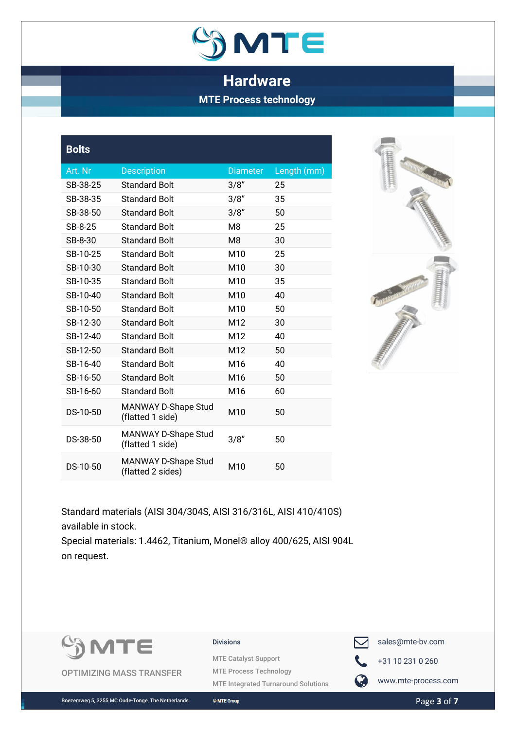

<span id="page-2-0"></span>

| <b>Bolts</b> |                                          |                 |             |
|--------------|------------------------------------------|-----------------|-------------|
| Art. Nr      | <b>Description</b>                       | <b>Diameter</b> | Length (mm) |
| SB-38-25     | <b>Standard Bolt</b>                     | 3/8"            | 25          |
| SB-38-35     | <b>Standard Bolt</b>                     | 3/8"            | 35          |
| SB-38-50     | <b>Standard Bolt</b>                     | 3/8"            | 50          |
| SB-8-25      | <b>Standard Bolt</b>                     | M <sub>8</sub>  | 25          |
| SB-8-30      | <b>Standard Bolt</b>                     | M <sub>8</sub>  | 30          |
| SB-10-25     | <b>Standard Bolt</b>                     | M10             | 25          |
| SB-10-30     | <b>Standard Bolt</b>                     | M10             | 30          |
| SB-10-35     | <b>Standard Bolt</b>                     | M10             | 35          |
| SB-10-40     | <b>Standard Bolt</b>                     | M10             | 40          |
| SB-10-50     | <b>Standard Bolt</b>                     | M10             | 50          |
| SB-12-30     | Standard Bolt                            | M12             | 30          |
| SB-12-40     | Standard Bolt                            | M12             | 40          |
| SB-12-50     | <b>Standard Bolt</b>                     | M12             | 50          |
| SB-16-40     | <b>Standard Bolt</b>                     | M16             | 40          |
| SB-16-50     | Standard Bolt                            | M <sub>16</sub> | 50          |
| SB-16-60     | Standard Bolt                            | M16             | 60          |
| DS-10-50     | MANWAY D-Shape Stud<br>(flatted 1 side)  | M10             | 50          |
| DS-38-50     | MANWAY D-Shape Stud<br>(flatted 1 side)  | 3/8''           | 50          |
| DS-10-50     | MANWAY D-Shape Stud<br>(flatted 2 sides) | M10             | 50          |
|              |                                          |                 |             |



Standard materials (AISI 304/304S, AISI 316/316L, AISI 410/410S) available in stock. Special materials: 1.4462, Titanium, Monel® alloy 400/625, AISI 904L

on request.



OPTIMIZING MASS TRANSFER

### Divisions

MTE Catalyst Support MTE Process Technology MTE Integrated Turnaround Solutions



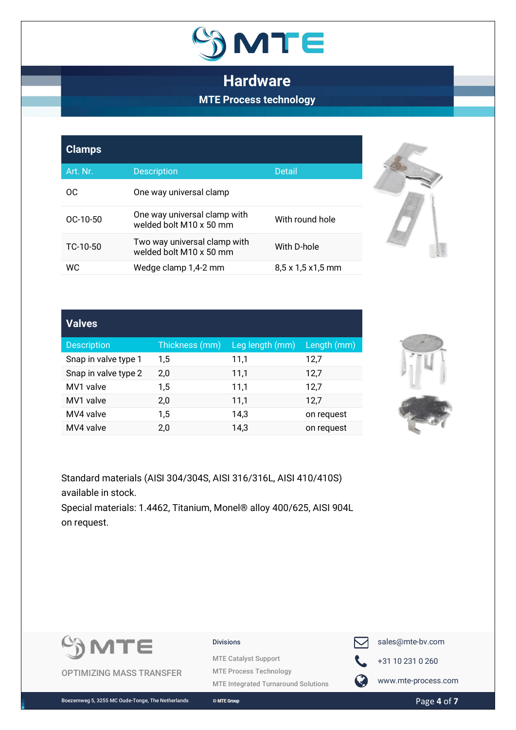

<span id="page-3-0"></span>

| <b>Clamps</b> |                                                         |                                |
|---------------|---------------------------------------------------------|--------------------------------|
| Art. Nr.      | <b>Description</b>                                      | <b>Detail</b>                  |
| OC.           | One way universal clamp                                 |                                |
| $OC-10-50$    | One way universal clamp with<br>welded bolt M10 x 50 mm | With round hole                |
| TC-10-50      | Two way universal clamp with<br>welded bolt M10 x 50 mm | With D-hole                    |
| WC.           | Wedge clamp 1,4-2 mm                                    | $8,5 \times 1,5 \times 1,5$ mm |



<span id="page-3-1"></span>

| <b>Valves</b>        |                |                 |             |
|----------------------|----------------|-----------------|-------------|
| <b>Description</b>   | Thickness (mm) | Leg length (mm) | Length (mm) |
| Snap in valve type 1 | 1,5            | 11,1            | 12,7        |
| Snap in valve type 2 | 2,0            | 11,1            | 12,7        |
| MV1 valve            | 1,5            | 11,1            | 12,7        |
| MV1 valve            | 2,0            | 11,1            | 12,7        |
| MV4 valve            | 1,5            | 14,3            | on request  |
| MV4 valve            | 2,0            | 14,3            | on request  |



Standard materials (AISI 304/304S, AISI 316/316L, AISI 410/410S) available in stock.

Special materials: 1.4462, Titanium, Monel® alloy 400/625, AISI 904L on request.



OPTIMIZING MASS TRANSFER

### Divisions

MTE Catalyst Support MTE Process Technology MTE Integrated Turnaround Solutions



sales@mte-bv.com

+31 10 231 0 260



**WWW.mte-process.com**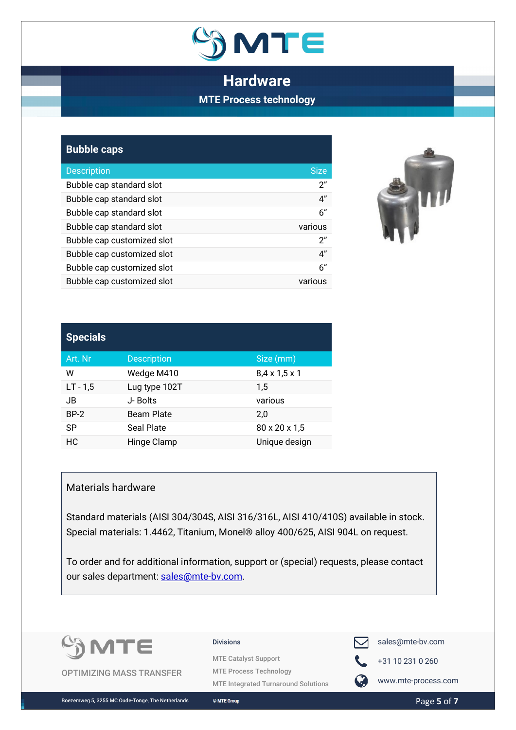

<span id="page-4-0"></span>

| <b>Bubble caps</b>         |             |
|----------------------------|-------------|
| <b>Description</b>         | <b>Size</b> |
| Bubble cap standard slot   | 2"          |
| Bubble cap standard slot   | 4"          |
| Bubble cap standard slot   | 6''         |
| Bubble cap standard slot   | various     |
| Bubble cap customized slot | 2"          |
| Bubble cap customized slot | 4"          |
| Bubble cap customized slot | 6"          |
| Bubble cap customized slot | various     |



<span id="page-4-1"></span>

| <b>Specials</b> |                    |                           |  |
|-----------------|--------------------|---------------------------|--|
| Art. Nr         | <b>Description</b> | Size (mm)                 |  |
| W               | Wedge M410         | $8,4 \times 1,5 \times 1$ |  |
| $LT - 1,5$      | Lug type 102T      | $1.5\,$                   |  |
| JB              | J- Bolts           | various                   |  |
| $BP-2$          | <b>Beam Plate</b>  | 2,0                       |  |
| <b>SP</b>       | <b>Seal Plate</b>  | 80 x 20 x 1,5             |  |
| НC              | Hinge Clamp        | Unique design             |  |

### Materials hardware

Standard materials (AISI 304/304S, AISI 316/316L, AISI 410/410S) available in stock. Special materials: 1.4462, Titanium, Monel® alloy 400/625, AISI 904L on request.

To order and for additional information, support or (special) requests, please contact our sales department: [sales@mte-bv.com.](mailto:sales@mte-bv.com)



OPTIMIZING MASS TRANSFER

#### Divisions

MTE Catalyst Support MTE Process Technology MTE Integrated Turnaround Solutions



 $\Box$  sales@mte-bv.com



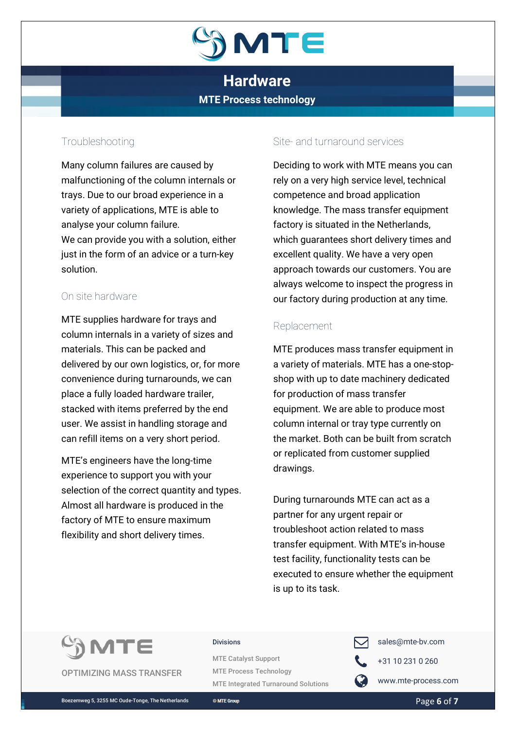

## Troubleshooting

Many column failures are caused by malfunctioning of the column internals or trays. Due to our broad experience in a variety of applications, MTE is able to analyse your column failure. We can provide you with a solution, either just in the form of an advice or a turn-key solution.

## On site hardware

MTE supplies hardware for trays and column internals in a variety of sizes and materials. This can be packed and delivered by our own logistics, or, for more convenience during turnarounds, we can place a fully loaded hardware trailer, stacked with items preferred by the end user. We assist in handling storage and can refill items on a very short period.

MTE's engineers have the long-time experience to support you with your selection of the correct quantity and types. Almost all hardware is produced in the factory of MTE to ensure maximum flexibility and short delivery times.

## Site- and turnaround services

Deciding to work with MTE means you can rely on a very high service level, technical competence and broad application knowledge. The mass transfer equipment factory is situated in the Netherlands, which guarantees short delivery times and excellent quality. We have a very open approach towards our customers. You are always welcome to inspect the progress in our factory during production at any time.

## Replacement

MTE produces mass transfer equipment in a variety of materials. MTE has a one-stopshop with up to date machinery dedicated for production of mass transfer equipment. We are able to produce most column internal or tray type currently on the market. Both can be built from scratch or replicated from customer supplied drawings.

During turnarounds MTE can act as a partner for any urgent repair or troubleshoot action related to mass transfer equipment. With MTE's in-house test facility, functionality tests can be executed to ensure whether the equipment is up to its task.



OPTIMIZING MASS TRANSFER

#### Divisions

MTE Catalyst Support MTE Process Technology MTE Integrated Turnaround Solutions



sales@mte-bv.com